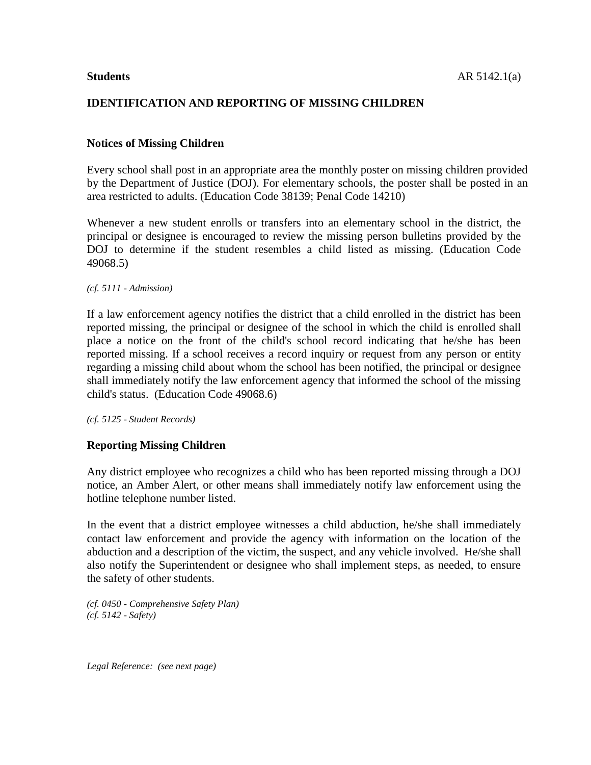# **IDENTIFICATION AND REPORTING OF MISSING CHILDREN**

## **Notices of Missing Children**

Every school shall post in an appropriate area the monthly poster on missing children provided by the Department of Justice (DOJ). For elementary schools, the poster shall be posted in an area restricted to adults. (Education Code 38139; Penal Code 14210)

Whenever a new student enrolls or transfers into an elementary school in the district, the principal or designee is encouraged to review the missing person bulletins provided by the DOJ to determine if the student resembles a child listed as missing. (Education Code 49068.5)

*(cf. 5111 - Admission)*

If a law enforcement agency notifies the district that a child enrolled in the district has been reported missing, the principal or designee of the school in which the child is enrolled shall place a notice on the front of the child's school record indicating that he/she has been reported missing. If a school receives a record inquiry or request from any person or entity regarding a missing child about whom the school has been notified, the principal or designee shall immediately notify the law enforcement agency that informed the school of the missing child's status. (Education Code 49068.6)

*(cf. 5125 - Student Records)*

### **Reporting Missing Children**

Any district employee who recognizes a child who has been reported missing through a DOJ notice, an Amber Alert, or other means shall immediately notify law enforcement using the hotline telephone number listed.

In the event that a district employee witnesses a child abduction, he/she shall immediately contact law enforcement and provide the agency with information on the location of the abduction and a description of the victim, the suspect, and any vehicle involved. He/she shall also notify the Superintendent or designee who shall implement steps, as needed, to ensure the safety of other students.

*(cf. 0450 - Comprehensive Safety Plan) (cf. 5142 - Safety)*

*Legal Reference: (see next page)*